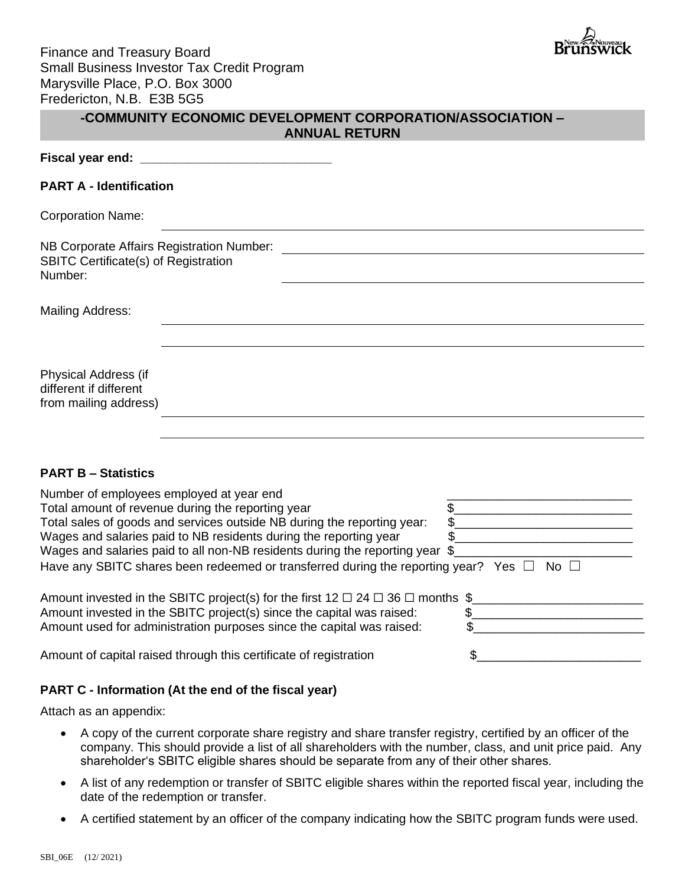

# **-COMMUNITY ECONOMIC DEVELOPMENT CORPORATION/ASSOCIATION – ANNUAL RETURN**

| Fiscal year end: |  |
|------------------|--|
|                  |  |

## **PART A - Identification**

Corporation Name:

NB Corporate Affairs Registration Number: SBITC Certificate(s) of Registration Number:

Mailing Address:

Physical Address (if different if different from mailing address)

# **PART B – Statistics**

Number of employees employed at year end Total amount of revenue during the reporting year  $\qquad \qquad \$ Total sales of goods and services outside NB during the reporting year:  $\$$ Wages and salaries paid to NB residents during the reporting year  $\qquad \$ Wages and salaries paid to all non-NB residents during the reporting year \$ Have any SBITC shares been redeemed or transferred during the reporting year? Yes  $\Box$  No  $\Box$ 

| Amount invested in the SBITC project(s) for the first 12 $\Box$ 24 $\Box$ 36 $\Box$ months \$ |  |
|-----------------------------------------------------------------------------------------------|--|
| Amount invested in the SBITC project(s) since the capital was raised:                         |  |
| Amount used for administration purposes since the capital was raised:                         |  |

Amount of capital raised through this certificate of registration  $\sim$  \$

# **PART C - Information (At the end of the fiscal year)**

Attach as an appendix:

- A copy of the current corporate share registry and share transfer registry, certified by an officer of the company. This should provide a list of all shareholders with the number, class, and unit price paid. Any shareholder's SBITC eligible shares should be separate from any of their other shares.
- A list of any redemption or transfer of SBITC eligible shares within the reported fiscal year, including the date of the redemption or transfer.
- A certified statement by an officer of the company indicating how the SBITC program funds were used.